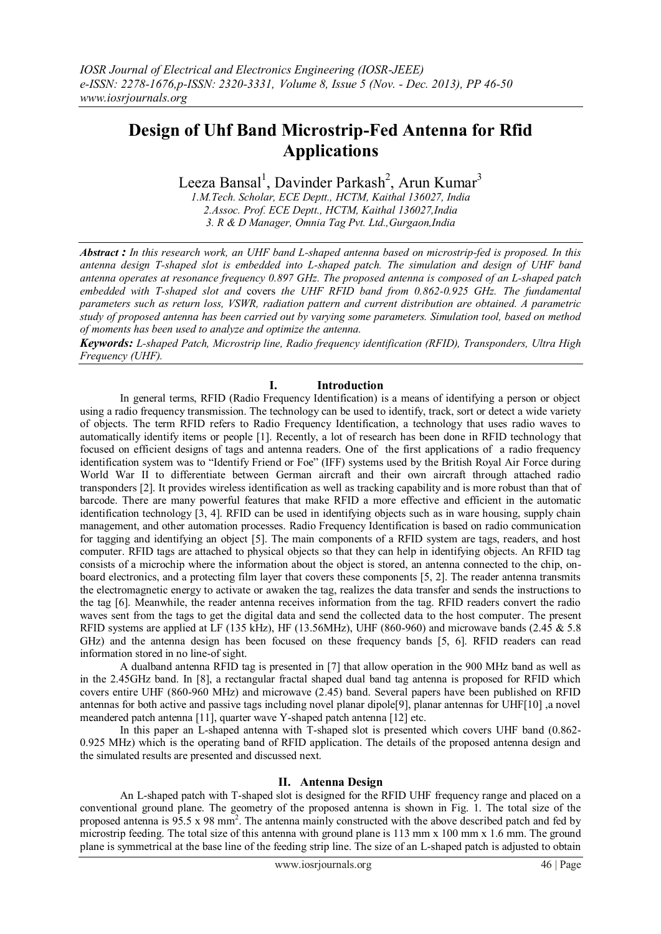# **Design of Uhf Band Microstrip-Fed Antenna for Rfid Applications**

Leeza Bansal<sup>1</sup>, Davinder Parkash<sup>2</sup>, Arun Kumar<sup>3</sup>

*1.M.Tech. Scholar, ECE Deptt., HCTM, Kaithal 136027, India 2.Assoc. Prof. ECE Deptt., HCTM, Kaithal 136027,India 3. R & D Manager, Omnia Tag Pvt. Ltd.,Gurgaon,India*

*Abstract : In this research work, an UHF band L-shaped antenna based on microstrip-fed is proposed. In this antenna design T-shaped slot is embedded into L-shaped patch. The simulation and design of UHF band antenna operates at resonance frequency 0.897 GHz. The proposed antenna is composed of an L-shaped patch embedded with T-shaped slot and* covers *the UHF RFID band from 0.862-0.925 GHz. The fundamental parameters such as return loss, VSWR, radiation pattern and current distribution are obtained. A parametric study of proposed antenna has been carried out by varying some parameters. Simulation tool, based on method of moments has been used to analyze and optimize the antenna.*

*Keywords: L-shaped Patch, Microstrip line, Radio frequency identification (RFID), Transponders, Ultra High Frequency (UHF).*

# **I. Introduction**

In general terms, RFID (Radio Frequency Identification) is a means of identifying a person or object using a radio frequency transmission. The technology can be used to identify, track, sort or detect a wide variety of objects. The term RFID refers to Radio Frequency Identification, a technology that uses radio waves to automatically identify items or people [1]. Recently, a lot of research has been done in RFID technology that focused on efficient designs of tags and antenna readers. One of the first applications of a radio frequency identification system was to "Identify Friend or Foe" (IFF) systems used by the British Royal Air Force during World War II to differentiate between German aircraft and their own aircraft through attached radio transponders [2]. It provides wireless identification as well as tracking capability and is more robust than that of barcode. There are many powerful features that make RFID a more effective and efficient in the automatic identification technology [3, 4]. RFID can be used in identifying objects such as in ware housing, supply chain management, and other automation processes. Radio Frequency Identification is based on radio communication for tagging and identifying an object [5]. The main components of a RFID system are tags, readers, and host computer. RFID tags are attached to physical objects so that they can help in identifying objects. An RFID tag consists of a microchip where the information about the object is stored, an antenna connected to the chip, onboard electronics, and a protecting film layer that covers these components [5, 2]. The reader antenna transmits the electromagnetic energy to activate or awaken the tag, realizes the data transfer and sends the instructions to the tag [6]. Meanwhile, the reader antenna receives information from the tag. RFID readers convert the radio waves sent from the tags to get the digital data and send the collected data to the host computer. The present RFID systems are applied at LF (135 kHz), HF (13.56MHz), UHF (860-960) and microwave bands (2.45 & 5.8 GHz) and the antenna design has been focused on these frequency bands [5, 6]. RFID readers can read information stored in no line-of sight.

A dualband antenna RFID tag is presented in [7] that allow operation in the 900 MHz band as well as in the 2.45GHz band. In [8], a rectangular fractal shaped dual band tag antenna is proposed for RFID which covers entire UHF (860-960 MHz) and microwave (2.45) band. Several papers have been published on RFID antennas for both active and passive tags including novel planar dipole[9], planar antennas for UHF[10] ,a novel meandered patch antenna [11], quarter wave Y-shaped patch antenna [12] etc.

In this paper an L-shaped antenna with T-shaped slot is presented which covers UHF band (0.862- 0.925 MHz) which is the operating band of RFID application. The details of the proposed antenna design and the simulated results are presented and discussed next.

## **II. Antenna Design**

An L-shaped patch with T-shaped slot is designed for the RFID UHF frequency range and placed on a conventional ground plane. The geometry of the proposed antenna is shown in Fig. 1. The total size of the proposed antenna is 95.5 x 98 mm<sup>2</sup>. The antenna mainly constructed with the above described patch and fed by microstrip feeding. The total size of this antenna with ground plane is 113 mm x 100 mm x 1.6 mm. The ground plane is symmetrical at the base line of the feeding strip line. The size of an L-shaped patch is adjusted to obtain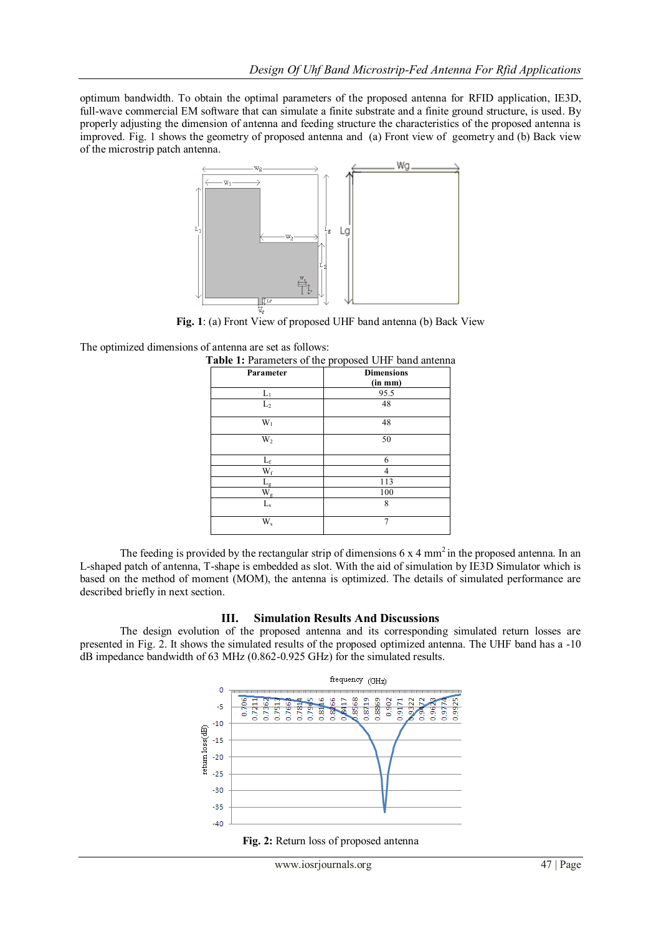optimum bandwidth. To obtain the optimal parameters of the proposed antenna for RFID application, IE3D, full-wave commercial EM software that can simulate a finite substrate and a finite ground structure, is used. By properly adjusting the dimension of antenna and feeding structure the characteristics of the proposed antenna is improved. Fig. 1 shows the geometry of proposed antenna and (a) Front view of geometry and (b) Back view of the microstrip patch antenna.



**Fig. 1**: (a) Front View of proposed UHF band antenna (b) Back View

The optimized dimensions of antenna are set as follows:

| Parameter      | <b>Dimensions</b><br>(in mm) |
|----------------|------------------------------|
|                |                              |
| L <sub>2</sub> | 48                           |
| $W_1$          | 48                           |
| W,             | 50                           |
| $L_{\rm f}$    | 6                            |
| $W_f$          | 4                            |
|                | 113                          |
| $W_g$          | 100                          |
| $\rm L_s$      | 8                            |
| W <sub>s</sub> | 7                            |

The feeding is provided by the rectangular strip of dimensions  $6 \times 4$  mm<sup>2</sup> in the proposed antenna. In an L-shaped patch of antenna, T-shape is embedded as slot. With the aid of simulation by IE3D Simulator which is based on the method of moment (MOM), the antenna is optimized. The details of simulated performance are described briefly in next section.

## **III. Simulation Results And Discussions**

The design evolution of the proposed antenna and its corresponding simulated return losses are presented in Fig. 2. It shows the simulated results of the proposed optimized antenna. The UHF band has a -10 dB impedance bandwidth of 63 MHz (0.862-0.925 GHz) for the simulated results.



**Fig. 2:** Return loss of proposed antenna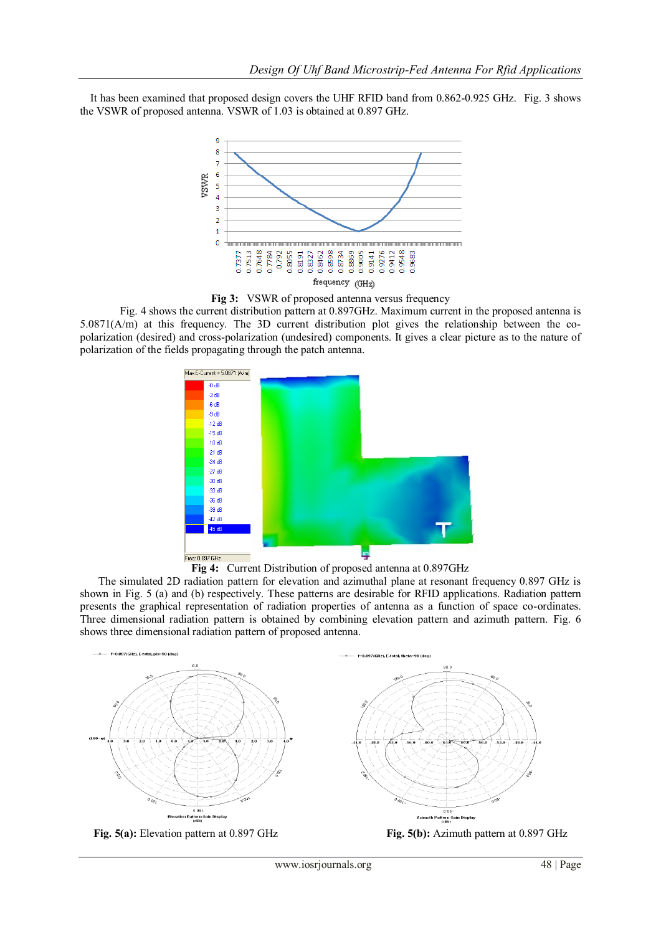It has been examined that proposed design covers the UHF RFID band from 0.862-0.925 GHz. Fig. 3 shows the VSWR of proposed antenna. VSWR of 1.03 is obtained at 0.897 GHz.



**Fig 3:** VSWR of proposed antenna versus frequency

Fig. 4 shows the current distribution pattern at 0.897GHz. Maximum current in the proposed antenna is 5.0871(A/m) at this frequency. The 3D current distribution plot gives the relationship between the copolarization (desired) and cross-polarization (undesired) components. It gives a clear picture as to the nature of polarization of the fields propagating through the patch antenna.



**Fig 4:** Current Distribution of proposed antenna at 0.897GHz

 The simulated 2D radiation pattern for elevation and azimuthal plane at resonant frequency 0.897 GHz is shown in Fig. 5 (a) and (b) respectively. These patterns are desirable for RFID applications. Radiation pattern presents the graphical representation of radiation properties of antenna as a function of space co-ordinates. Three dimensional radiation pattern is obtained by combining elevation pattern and azimuth pattern. Fig. 6 shows three dimensional radiation pattern of proposed antenna.



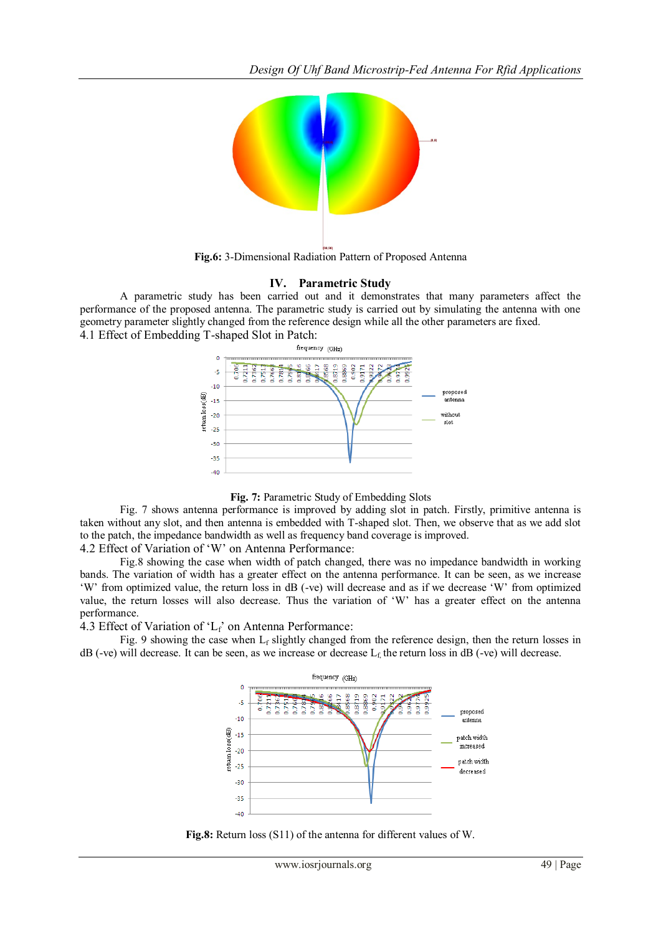

**Fig.6:** 3-Dimensional Radiation Pattern of Proposed Antenna

## **IV. Parametric Study**

A parametric study has been carried out and it demonstrates that many parameters affect the performance of the proposed antenna. The parametric study is carried out by simulating the antenna with one geometry parameter slightly changed from the reference design while all the other parameters are fixed. 4.1 Effect of Embedding T-shaped Slot in Patch:





Fig. 7 shows antenna performance is improved by adding slot in patch. Firstly, primitive antenna is taken without any slot, and then antenna is embedded with T-shaped slot. Then, we observe that as we add slot to the patch, the impedance bandwidth as well as frequency band coverage is improved.

4.2 Effect of Variation of "W" on Antenna Performance:

Fig.8 showing the case when width of patch changed, there was no impedance bandwidth in working bands. The variation of width has a greater effect on the antenna performance. It can be seen, as we increase "W" from optimized value, the return loss in dB (-ve) will decrease and as if we decrease "W" from optimized value, the return losses will also decrease. Thus the variation of "W" has a greater effect on the antenna performance.

4.3 Effect of Variation of "Lf" on Antenna Performance:

Fig. 9 showing the case when  $L_f$  slightly changed from the reference design, then the return losses in dB (-ve) will decrease. It can be seen, as we increase or decrease  $L_f$  the return loss in dB (-ve) will decrease.



**Fig.8:** Return loss (S11) of the antenna for different values of W.